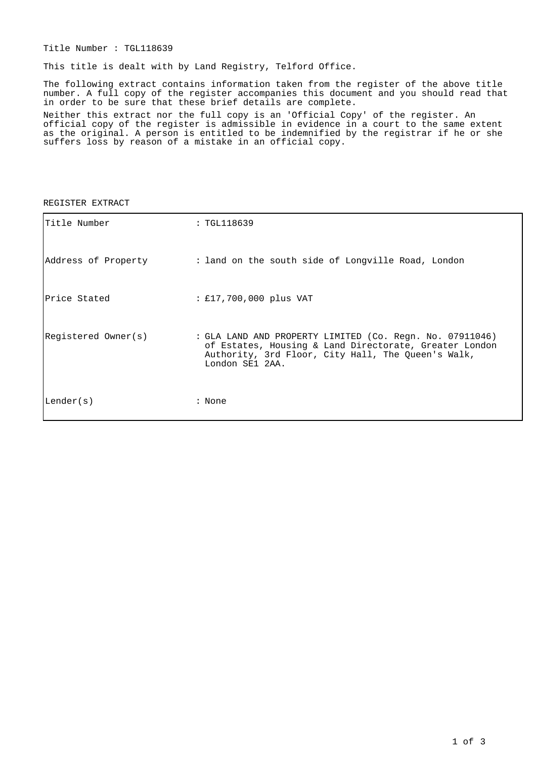Title Number : TGL118639

This title is dealt with by Land Registry, Telford Office.

The following extract contains information taken from the register of the above title number. A full copy of the register accompanies this document and you should read that in order to be sure that these brief details are complete.

Neither this extract nor the full copy is an 'Official Copy' of the register. An official copy of the register is admissible in evidence in a court to the same extent as the original. A person is entitled to be indemnified by the registrar if he or she suffers loss by reason of a mistake in an official copy.

| Title Number        | : TGL118639                                                                                                                                                                                 |  |
|---------------------|---------------------------------------------------------------------------------------------------------------------------------------------------------------------------------------------|--|
| Address of Property | : land on the south side of Longville Road, London                                                                                                                                          |  |
| lPrice Stated       | : £17,700,000 plus VAT                                                                                                                                                                      |  |
| Registered Owner(s) | : GLA LAND AND PROPERTY LIMITED (Co. Regn. No. 07911046)<br>of Estates, Housing & Land Directorate, Greater London<br>Authority, 3rd Floor, City Hall, The Queen's Walk,<br>London SE1 2AA. |  |
| Lender(s)           | : None                                                                                                                                                                                      |  |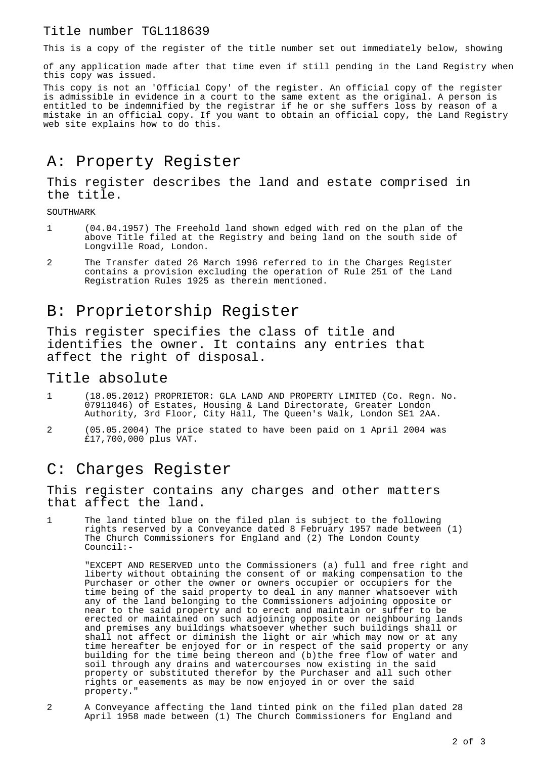#### Title number TGL118639

This is a copy of the register of the title number set out immediately below, showing

of any application made after that time even if still pending in the Land Registry when this copy was issued.

This copy is not an 'Official Copy' of the register. An official copy of the register is admissible in evidence in a court to the same extent as the original. A person is entitled to be indemnified by the registrar if he or she suffers loss by reason of a mistake in an official copy. If you want to obtain an official copy, the Land Registry web site explains how to do this.

# A: Property Register

### This register describes the land and estate comprised in the title.

SOUTHWARK

- 1 (04.04.1957) The Freehold land shown edged with red on the plan of the above Title filed at the Registry and being land on the south side of Longville Road, London.
- 2 The Transfer dated 26 March 1996 referred to in the Charges Register contains a provision excluding the operation of Rule 251 of the Land Registration Rules 1925 as therein mentioned.

## B: Proprietorship Register

This register specifies the class of title and identifies the owner. It contains any entries that affect the right of disposal.

#### Title absolute

- 1 (18.05.2012) PROPRIETOR: GLA LAND AND PROPERTY LIMITED (Co. Regn. No. 07911046) of Estates, Housing & Land Directorate, Greater London Authority, 3rd Floor, City Hall, The Queen's Walk, London SE1 2AA.
- 2 (05.05.2004) The price stated to have been paid on 1 April 2004 was £17,700,000 plus VAT.

### C: Charges Register

This register contains any charges and other matters that affect the land.

The land tinted blue on the filed plan is subject to the following rights reserved by a Conveyance dated 8 February 1957 made between (1) The Church Commissioners for England and (2) The London County Council:-

"EXCEPT AND RESERVED unto the Commissioners (a) full and free right and liberty without obtaining the consent of or making compensation to the Purchaser or other the owner or owners occupier or occupiers for the time being of the said property to deal in any manner whatsoever with any of the land belonging to the Commissioners adjoining opposite or near to the said property and to erect and maintain or suffer to be erected or maintained on such adjoining opposite or neighbouring lands and premises any buildings whatsoever whether such buildings shall or shall not affect or diminish the light or air which may now or at any time hereafter be enjoyed for or in respect of the said property or any building for the time being thereon and (b)the free flow of water and soil through any drains and watercourses now existing in the said property or substituted therefor by the Purchaser and all such other rights or easements as may be now enjoyed in or over the said property."

2 A Conveyance affecting the land tinted pink on the filed plan dated 28 April 1958 made between (1) The Church Commissioners for England and